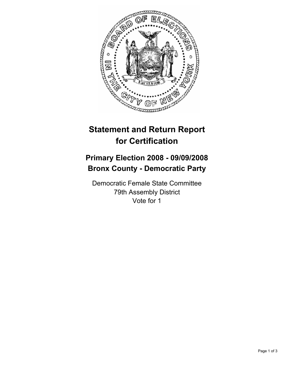

## **Statement and Return Report for Certification**

## **Primary Election 2008 - 09/09/2008 Bronx County - Democratic Party**

Democratic Female State Committee 79th Assembly District Vote for 1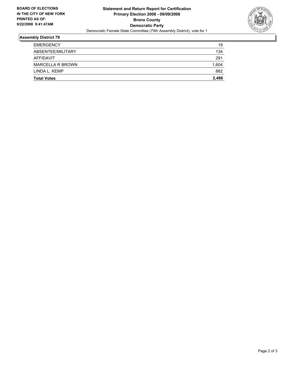

## **Assembly District 79**

| <b>Total Votes</b>      | 2,486 |
|-------------------------|-------|
| LINDA L. KEMP           | 882   |
| <b>MARCELLA R BROWN</b> | 1,604 |
| AFFIDAVIT               | 291   |
| ABSENTEE/MILITARY       | 134   |
| EMERGENCY               | 19    |